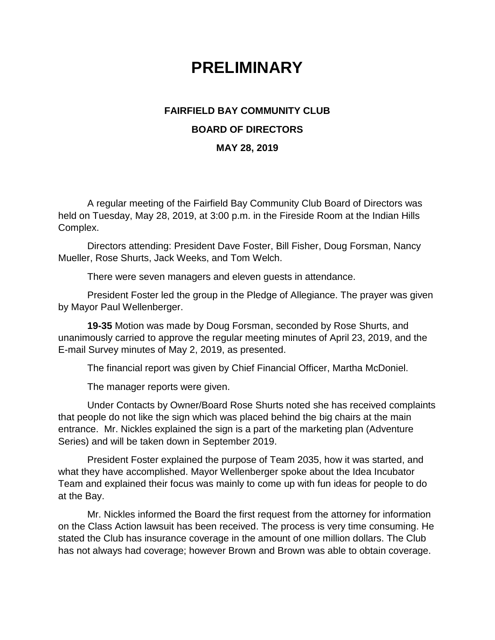## **PRELIMINARY**

## **FAIRFIELD BAY COMMUNITY CLUB BOARD OF DIRECTORS**

## **MAY 28, 2019**

A regular meeting of the Fairfield Bay Community Club Board of Directors was held on Tuesday, May 28, 2019, at 3:00 p.m. in the Fireside Room at the Indian Hills Complex.

Directors attending: President Dave Foster, Bill Fisher, Doug Forsman, Nancy Mueller, Rose Shurts, Jack Weeks, and Tom Welch.

There were seven managers and eleven guests in attendance.

President Foster led the group in the Pledge of Allegiance. The prayer was given by Mayor Paul Wellenberger.

**19-35** Motion was made by Doug Forsman, seconded by Rose Shurts, and unanimously carried to approve the regular meeting minutes of April 23, 2019, and the E-mail Survey minutes of May 2, 2019, as presented.

The financial report was given by Chief Financial Officer, Martha McDoniel.

The manager reports were given.

Under Contacts by Owner/Board Rose Shurts noted she has received complaints that people do not like the sign which was placed behind the big chairs at the main entrance. Mr. Nickles explained the sign is a part of the marketing plan (Adventure Series) and will be taken down in September 2019.

President Foster explained the purpose of Team 2035, how it was started, and what they have accomplished. Mayor Wellenberger spoke about the Idea Incubator Team and explained their focus was mainly to come up with fun ideas for people to do at the Bay.

Mr. Nickles informed the Board the first request from the attorney for information on the Class Action lawsuit has been received. The process is very time consuming. He stated the Club has insurance coverage in the amount of one million dollars. The Club has not always had coverage; however Brown and Brown was able to obtain coverage.